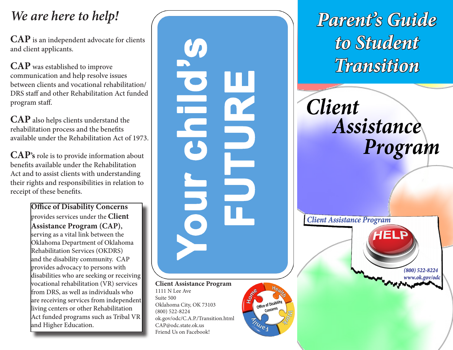**CAP** is an independent advocate for clients and client applicants.

**CAP** was established to improve communication and help resolve issues between clients and vocational rehabilitation/ DRS staff and other Rehabilitation Act funded program staff.

**CAP** also helps clients understand the rehabilitation process and the benefits available under the Rehabilitation Act of 1973.

**CAP's** role is to provide information about benefits available under the Rehabilitation Act and to assist clients with understanding their rights and responsibilities in relation to receipt of these benefits.

> **Office of Disability Concerns**  provides services under the **Client Assistance Program (CAP),** serving as a vital link between the Oklahoma Department of Oklahoma Rehabilitation Services (OKDRS) and the disability community. CAP provides advocacy to persons with disabilities who are seeking or receiving vocational rehabilitation (VR) services from DRS, as well as individuals who are receiving services from independent living centers or other Rehabilitation Act funded programs such as Tribal VR and Higher Education.

U b Di **Client Assistance Program** 1111 N Lee Ave Suite 500 Office of Disability Oklahoma City, OK 73103 (800) 522-8224 ok.gov/odc/C.A.P./Transition.html

**INVES** 

CAP@odc.state.ok.us Friend Us on Facebook! **Client Assistance Program** 

*We are here to help! Parent's Guide to Student Transition*

> **Client** Assistance Program

> > $(800)$  522-8224 www.ok.gov/odc